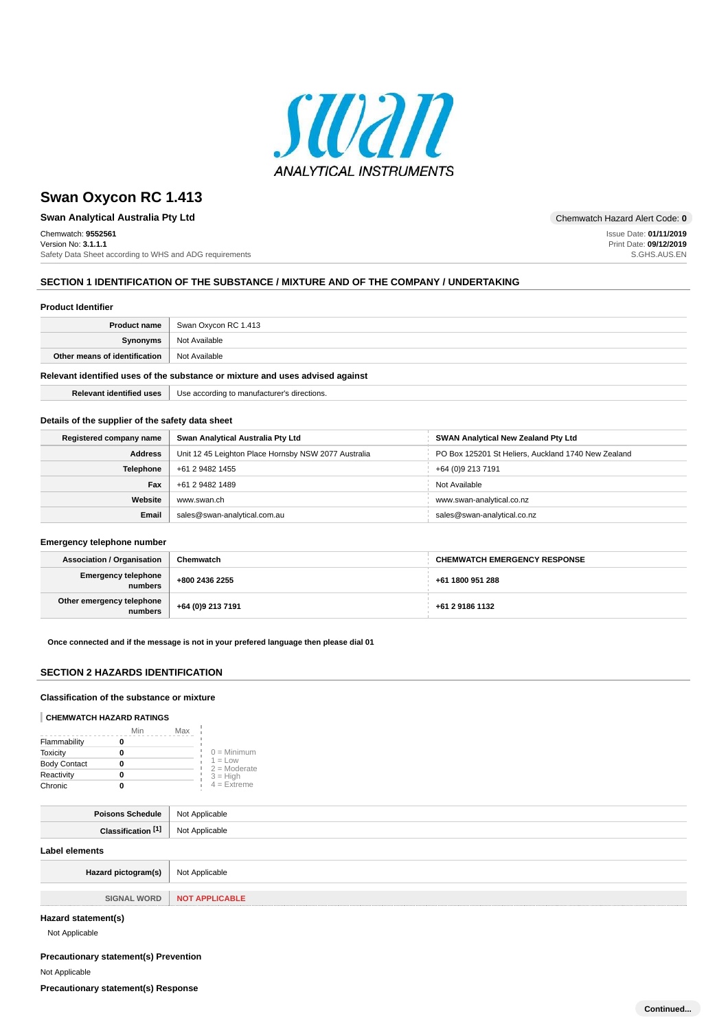

**Swan Analytical Australia Pty Ltd Chemwatch Hazard Alert Code: 0** 

Chemwatch: **9552561** Version No: **3.1.1.1** Safety Data Sheet according to WHS and ADG requirements

Issue Date: **01/11/2019** Print Date: **09/12/2019** S.GHS.AUS.EN

## **SECTION 1 IDENTIFICATION OF THE SUBSTANCE / MIXTURE AND OF THE COMPANY / UNDERTAKING**

#### **Product Identifier**

| Product name                                                                  | Swan Oxycon RC 1.413 |
|-------------------------------------------------------------------------------|----------------------|
| Synonyms                                                                      | Not Available        |
| Other means of identification                                                 | Not Available        |
| Relevant identified uses of the substance or mixture and uses advised against |                      |

**Relevant identified uses** Use according to manufacturer's directions.

### **Details of the supplier of the safety data sheet**

| Registered company name | Swan Analytical Australia Pty Ltd                    | <b>SWAN Analytical New Zealand Pty Ltd</b>          |
|-------------------------|------------------------------------------------------|-----------------------------------------------------|
| <b>Address</b>          | Unit 12 45 Leighton Place Hornsby NSW 2077 Australia | PO Box 125201 St Heliers, Auckland 1740 New Zealand |
| <b>Telephone</b>        | +61 2 9482 1455                                      | +64 (0)9 213 7191                                   |
| Fax                     | +61 2 9482 1489                                      | Not Available                                       |
| Website                 | www.swan.ch                                          | www.swan-analytical.co.nz                           |
| Email                   | sales@swan-analytical.com.au                         | sales@swan-analytical.co.nz                         |

## **Emergency telephone number**

| <b>Association / Organisation</b>      | Chemwatch         | <b>CHEMWATCH EMERGENCY RESPONSE</b> |
|----------------------------------------|-------------------|-------------------------------------|
| Emergency telephone<br>numbers         | +800 2436 2255    | +61 1800 951 288                    |
| Other emergency telephone<br>  numbers | +64 (0)9 213 7191 | +61 2 9186 1132                     |

#### **Once connected and if the message is not in your prefered language then please dial 01**

## **SECTION 2 HAZARDS IDENTIFICATION**

## **Classification of the substance or mixture**

#### **CHEMWATCH HAZARD RATINGS**

|                     | Min | Max                         |
|---------------------|-----|-----------------------------|
| Flammability        |     |                             |
| <b>Toxicity</b>     |     | $0 =$ Minimum               |
| <b>Body Contact</b> |     | $1 = Low$<br>$2 =$ Moderate |
| Reactivity          |     | $3 = High$                  |
| Chronic             |     | $4 = Ex$ <i>reme</i>        |

| Poisons Schedule   Not Applicable |                |
|-----------------------------------|----------------|
| Classification <sup>[1]</sup>     | Not Applicable |
| Label elements                    |                |

| Hazard pictogram(s) | Not Applicable               |
|---------------------|------------------------------|
|                     |                              |
|                     | SIGNAL WORD   NOT APPLICABLE |
|                     |                              |

## **Hazard statement(s)**

Not Applicable

## **Precautionary statement(s) Prevention**

Not Applicable

**Precautionary statement(s) Response**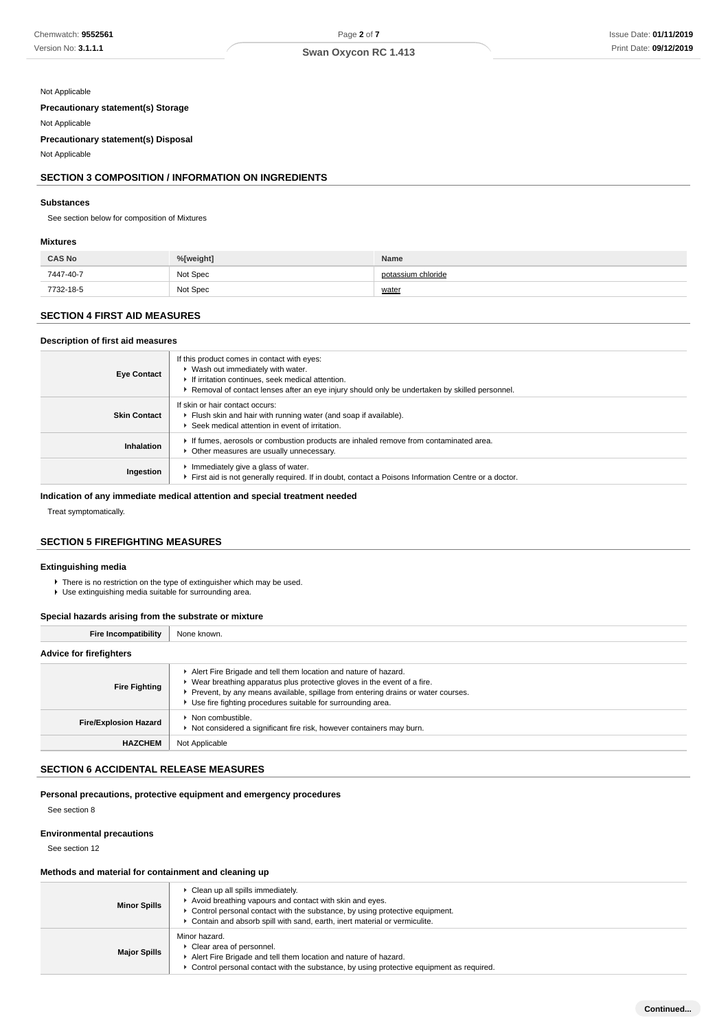## Not Applicable

**Precautionary statement(s) Storage**

Not Applicable

**Precautionary statement(s) Disposal**

Not Applicable

## **SECTION 3 COMPOSITION / INFORMATION ON INGREDIENTS**

#### **Substances**

See section below for composition of Mixtures

## **Mixtures**

| <b>CAS No</b> | %[weight] | Name               |
|---------------|-----------|--------------------|
| 7447-40-7     | Not Spec  | potassium chloride |
| 7732-18-5     | Not Spec  | water              |

## **SECTION 4 FIRST AID MEASURES**

## **Description of first aid measures**

| <b>Eye Contact</b>  | If this product comes in contact with eyes:<br>▶ Wash out immediately with water.<br>If irritation continues, seek medical attention.<br>► Removal of contact lenses after an eye injury should only be undertaken by skilled personnel. |
|---------------------|------------------------------------------------------------------------------------------------------------------------------------------------------------------------------------------------------------------------------------------|
| <b>Skin Contact</b> | If skin or hair contact occurs:<br>Flush skin and hair with running water (and soap if available).<br>Seek medical attention in event of irritation.                                                                                     |
| Inhalation          | If fumes, aerosols or combustion products are inhaled remove from contaminated area.<br>Other measures are usually unnecessary.                                                                                                          |
| Ingestion           | Immediately give a glass of water.<br>First aid is not generally required. If in doubt, contact a Poisons Information Centre or a doctor.                                                                                                |

## **Indication of any immediate medical attention and special treatment needed**

Treat symptomatically.

## **SECTION 5 FIREFIGHTING MEASURES**

#### **Extinguishing media**

▶ There is no restriction on the type of extinguisher which may be used.

Use extinguishing media suitable for surrounding area.

## **Special hazards arising from the substrate or mixture**

| <b>Fire Incompatibility</b>    | None known.                                                                                                                                                                                                                                                                                     |
|--------------------------------|-------------------------------------------------------------------------------------------------------------------------------------------------------------------------------------------------------------------------------------------------------------------------------------------------|
| <b>Advice for firefighters</b> |                                                                                                                                                                                                                                                                                                 |
| <b>Fire Fighting</b>           | Alert Fire Brigade and tell them location and nature of hazard.<br>• Wear breathing apparatus plus protective gloves in the event of a fire.<br>Prevent, by any means available, spillage from entering drains or water courses.<br>Use fire fighting procedures suitable for surrounding area. |
| <b>Fire/Explosion Hazard</b>   | $\blacktriangleright$ Non combustible.<br>Not considered a significant fire risk, however containers may burn.                                                                                                                                                                                  |
| <b>HAZCHEM</b>                 | Not Applicable                                                                                                                                                                                                                                                                                  |

## **SECTION 6 ACCIDENTAL RELEASE MEASURES**

**Personal precautions, protective equipment and emergency procedures**

See section 8

#### **Environmental precautions**

See section 12

## **Methods and material for containment and cleaning up**

| <b>Minor Spills</b> | • Clean up all spills immediately.<br>Avoid breathing vapours and contact with skin and eyes.<br>► Control personal contact with the substance, by using protective equipment.<br>Contain and absorb spill with sand, earth, inert material or vermiculite. |
|---------------------|-------------------------------------------------------------------------------------------------------------------------------------------------------------------------------------------------------------------------------------------------------------|
| <b>Major Spills</b> | Minor hazard.<br>Clear area of personnel.<br>Alert Fire Brigade and tell them location and nature of hazard.<br>► Control personal contact with the substance, by using protective equipment as required.                                                   |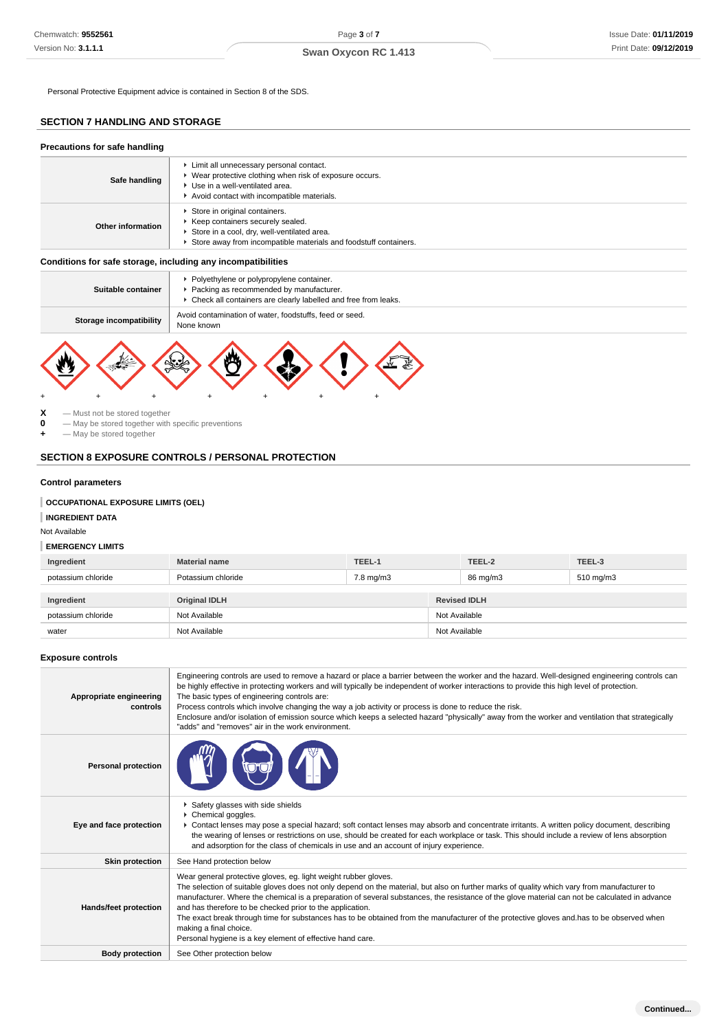## **SECTION 7 HANDLING AND STORAGE**

| Precautions for safe handling |                                                                                                                                                                                        |
|-------------------------------|----------------------------------------------------------------------------------------------------------------------------------------------------------------------------------------|
| Safe handling                 | Limit all unnecessary personal contact.<br>▶ Wear protective clothing when risk of exposure occurs.<br>▶ Use in a well-ventilated area.<br>Avoid contact with incompatible materials.  |
| Other information             | Store in original containers.<br>▶ Keep containers securely sealed.<br>Store in a cool, dry, well-ventilated area.<br>Store away from incompatible materials and foodstuff containers. |

## **Conditions for safe storage, including any incompatibilities**

| Suitable container      | Polyethylene or polypropylene container.<br>Packing as recommended by manufacturer.<br>• Check all containers are clearly labelled and free from leaks. |
|-------------------------|---------------------------------------------------------------------------------------------------------------------------------------------------------|
| Storage incompatibility | Avoid contamination of water, foodstuffs, feed or seed.<br>None known                                                                                   |
| ٠                       | 幽<br>ملاملا                                                                                                                                             |

## **SECTION 8 EXPOSURE CONTROLS / PERSONAL PROTECTION**

## **Control parameters**

## **OCCUPATIONAL EXPOSURE LIMITS (OEL)**

## **EMERGENCY LIMITS**

| Ingredient         | <b>Material name</b> | TEEL-1               |               | TEEL-2              | TEEL-3    |
|--------------------|----------------------|----------------------|---------------|---------------------|-----------|
| potassium chloride | Potassium chloride   | $7.8 \text{ mg/m}$ 3 |               | 86 mg/m3            | 510 mg/m3 |
|                    |                      |                      |               |                     |           |
|                    |                      |                      |               |                     |           |
| Ingredient         | <b>Original IDLH</b> |                      |               | <b>Revised IDLH</b> |           |
| potassium chloride | Not Available        |                      | Not Available |                     |           |

#### **Exposure controls**

| Chemwatch: 9552561                                                                                 |                                                                                                                                                                                                                                                                                                                                                                                                                                                                                                                                                                                                                                                                   | Page 3 of 7          |                     |          | Issue Date: 01/11/2019 |
|----------------------------------------------------------------------------------------------------|-------------------------------------------------------------------------------------------------------------------------------------------------------------------------------------------------------------------------------------------------------------------------------------------------------------------------------------------------------------------------------------------------------------------------------------------------------------------------------------------------------------------------------------------------------------------------------------------------------------------------------------------------------------------|----------------------|---------------------|----------|------------------------|
| Version No: 3.1.1.1                                                                                |                                                                                                                                                                                                                                                                                                                                                                                                                                                                                                                                                                                                                                                                   | Swan Oxycon RC 1.413 |                     |          | Print Date: 09/12/2019 |
|                                                                                                    | Personal Protective Equipment advice is contained in Section 8 of the SDS.                                                                                                                                                                                                                                                                                                                                                                                                                                                                                                                                                                                        |                      |                     |          |                        |
| <b>SECTION 7 HANDLING AND STORAGE</b>                                                              |                                                                                                                                                                                                                                                                                                                                                                                                                                                                                                                                                                                                                                                                   |                      |                     |          |                        |
| Precautions for safe handling                                                                      |                                                                                                                                                                                                                                                                                                                                                                                                                                                                                                                                                                                                                                                                   |                      |                     |          |                        |
| Safe handling                                                                                      | Limit all unnecessary personal contact.<br>▶ Wear protective clothing when risk of exposure occurs.<br>Use in a well-ventilated area.<br>Avoid contact with incompatible materials.                                                                                                                                                                                                                                                                                                                                                                                                                                                                               |                      |                     |          |                        |
| Other information                                                                                  | Store in original containers.<br>Keep containers securely sealed.<br>Store in a cool, dry, well-ventilated area.<br>Store away from incompatible materials and foodstuff containers.                                                                                                                                                                                                                                                                                                                                                                                                                                                                              |                      |                     |          |                        |
| Conditions for safe storage, including any incompatibilities                                       |                                                                                                                                                                                                                                                                                                                                                                                                                                                                                                                                                                                                                                                                   |                      |                     |          |                        |
| Suitable container                                                                                 | Polyethylene or polypropylene container.<br>Packing as recommended by manufacturer.<br>• Check all containers are clearly labelled and free from leaks.                                                                                                                                                                                                                                                                                                                                                                                                                                                                                                           |                      |                     |          |                        |
| <b>Storage incompatibility</b>                                                                     | Avoid contamination of water, foodstuffs, feed or seed.<br>None known                                                                                                                                                                                                                                                                                                                                                                                                                                                                                                                                                                                             |                      |                     |          |                        |
| - May be stored together<br><b>Control parameters</b><br><b>OCCUPATIONAL EXPOSURE LIMITS (OEL)</b> | <b>SECTION 8 EXPOSURE CONTROLS / PERSONAL PROTECTION</b>                                                                                                                                                                                                                                                                                                                                                                                                                                                                                                                                                                                                          |                      |                     |          |                        |
| <b>INGREDIENT DATA</b><br>Not Available                                                            |                                                                                                                                                                                                                                                                                                                                                                                                                                                                                                                                                                                                                                                                   |                      |                     |          |                        |
| <b>EMERGENCY LIMITS</b>                                                                            |                                                                                                                                                                                                                                                                                                                                                                                                                                                                                                                                                                                                                                                                   |                      |                     |          |                        |
| Ingredient                                                                                         | <b>Material name</b>                                                                                                                                                                                                                                                                                                                                                                                                                                                                                                                                                                                                                                              | TEEL-1               |                     | TEEL-2   | TEEL-3                 |
| potassium chloride                                                                                 | Potassium chloride                                                                                                                                                                                                                                                                                                                                                                                                                                                                                                                                                                                                                                                | $7.8 \text{ mg/m}$ 3 |                     | 86 mg/m3 | 510 mg/m3              |
| Ingredient                                                                                         | <b>Original IDLH</b>                                                                                                                                                                                                                                                                                                                                                                                                                                                                                                                                                                                                                                              |                      | <b>Revised IDLH</b> |          |                        |
| potassium chloride                                                                                 | Not Available<br>Not Available                                                                                                                                                                                                                                                                                                                                                                                                                                                                                                                                                                                                                                    |                      | Not Available       |          |                        |
| water                                                                                              |                                                                                                                                                                                                                                                                                                                                                                                                                                                                                                                                                                                                                                                                   |                      | Not Available       |          |                        |
| <b>Exposure controls</b>                                                                           |                                                                                                                                                                                                                                                                                                                                                                                                                                                                                                                                                                                                                                                                   |                      |                     |          |                        |
| Appropriate engineering<br>controls                                                                | Engineering controls are used to remove a hazard or place a barrier between the worker and the hazard. Well-designed engineering controls can<br>be highly effective in protecting workers and will typically be independent of worker interactions to provide this high level of protection.<br>The basic types of engineering controls are:<br>Process controls which involve changing the way a job activity or process is done to reduce the risk.<br>Enclosure and/or isolation of emission source which keeps a selected hazard "physically" away from the worker and ventilation that strategically<br>"adds" and "removes" air in the work environment.   |                      |                     |          |                        |
| <b>Personal protection</b>                                                                         |                                                                                                                                                                                                                                                                                                                                                                                                                                                                                                                                                                                                                                                                   |                      |                     |          |                        |
| Eye and face protection                                                                            | Safety glasses with side shields<br>Chemical goggles.<br>▶ Contact lenses may pose a special hazard; soft contact lenses may absorb and concentrate irritants. A written policy document, describing<br>the wearing of lenses or restrictions on use, should be created for each workplace or task. This should include a review of lens absorption<br>and adsorption for the class of chemicals in use and an account of injury experience.                                                                                                                                                                                                                      |                      |                     |          |                        |
| <b>Skin protection</b>                                                                             | See Hand protection below                                                                                                                                                                                                                                                                                                                                                                                                                                                                                                                                                                                                                                         |                      |                     |          |                        |
| Hands/feet protection                                                                              | Wear general protective gloves, eg. light weight rubber gloves.<br>The selection of suitable gloves does not only depend on the material, but also on further marks of quality which vary from manufacturer to<br>manufacturer. Where the chemical is a preparation of several substances, the resistance of the glove material can not be calculated in advance<br>and has therefore to be checked prior to the application.<br>The exact break through time for substances has to be obtained from the manufacturer of the protective gloves and has to be observed when<br>making a final choice.<br>Personal hygiene is a key element of effective hand care. |                      |                     |          |                        |
| <b>Body protection</b>                                                                             | See Other protection below                                                                                                                                                                                                                                                                                                                                                                                                                                                                                                                                                                                                                                        |                      |                     |          |                        |
|                                                                                                    |                                                                                                                                                                                                                                                                                                                                                                                                                                                                                                                                                                                                                                                                   |                      |                     |          |                        |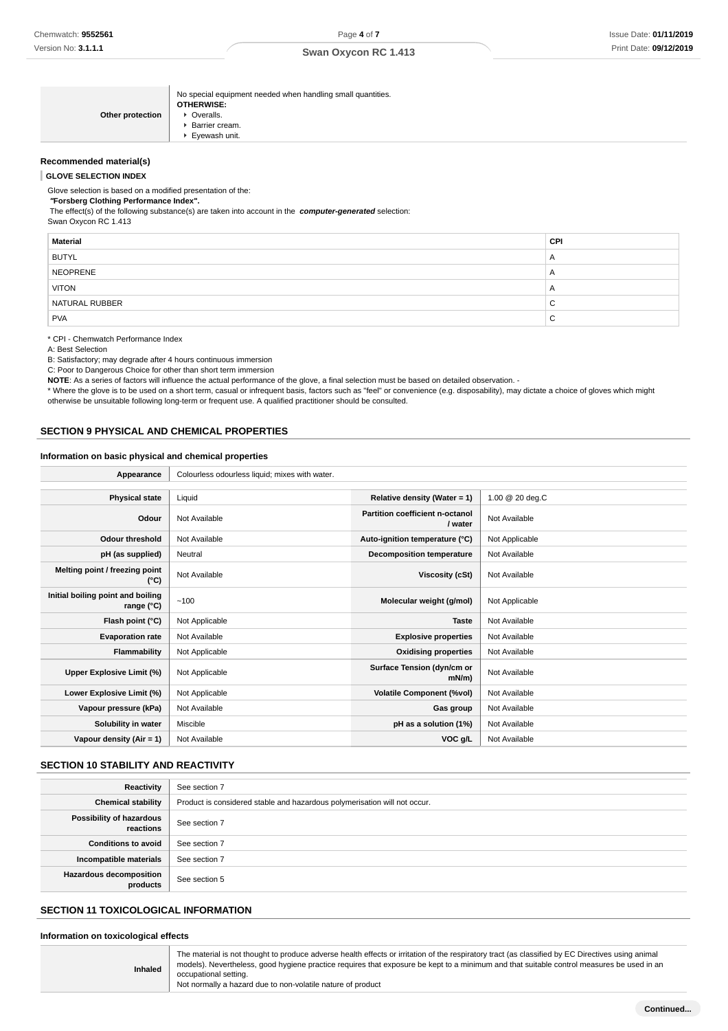| Other protection | No special equipment needed when handling small quantities.<br><b>OTHERWISE:</b><br>• Overalls.<br>Barrier cream.<br>Evewash unit. |
|------------------|------------------------------------------------------------------------------------------------------------------------------------|
|                  |                                                                                                                                    |

### **Recommended material(s)**

**GLOVE SELECTION INDEX**

Glove selection is based on a modified presentation of the:

#### **"Forsberg Clothing Performance Index".**

The effect(s) of the following substance(s) are taken into account in the **computer-generated** selection:

| Swan Oxycon RC 1.413 |  |  |
|----------------------|--|--|
|                      |  |  |

| Material       | <b>CPI</b>     |
|----------------|----------------|
| <b>BUTYL</b>   | $\mathsf{A}$   |
| NEOPRENE       | $\mathsf{A}$   |
| <b>VITON</b>   | $\overline{A}$ |
| NATURAL RUBBER | $\sim$<br>◡    |
| <b>PVA</b>     | $\sim$<br>◡    |

## \* CPI - Chemwatch Performance Index

A: Best Selection

B: Satisfactory; may degrade after 4 hours continuous immersion

C: Poor to Dangerous Choice for other than short term immersion

NOTE: As a series of factors will influence the actual performance of the glove, a final selection must be based on detailed observation. -

\* Where the glove is to be used on a short term, casual or infrequent basis, factors such as "feel" or convenience (e.g. disposability), may dictate a choice of gloves which might otherwise be unsuitable following long-term or frequent use. A qualified practitioner should be consulted.

## **SECTION 9 PHYSICAL AND CHEMICAL PROPERTIES**

#### **Information on basic physical and chemical properties**

| Appearance                                      | Colourless odourless liquid; mixes with water. |                                            |                 |
|-------------------------------------------------|------------------------------------------------|--------------------------------------------|-----------------|
|                                                 |                                                |                                            |                 |
| <b>Physical state</b>                           | Liquid                                         | Relative density (Water = 1)               | 1.00 @ 20 deg.C |
| Odour                                           | Not Available                                  | Partition coefficient n-octanol<br>/ water | Not Available   |
| <b>Odour threshold</b>                          | Not Available                                  | Auto-ignition temperature (°C)             | Not Applicable  |
| pH (as supplied)                                | Neutral                                        | <b>Decomposition temperature</b>           | Not Available   |
| Melting point / freezing point<br>(°C)          | Not Available                                  | <b>Viscosity (cSt)</b>                     | Not Available   |
| Initial boiling point and boiling<br>range (°C) | ~100                                           | Molecular weight (g/mol)                   | Not Applicable  |
| Flash point (°C)                                | Not Applicable                                 | <b>Taste</b>                               | Not Available   |
| <b>Evaporation rate</b>                         | Not Available                                  | <b>Explosive properties</b>                | Not Available   |
| Flammability                                    | Not Applicable                                 | <b>Oxidising properties</b>                | Not Available   |
| Upper Explosive Limit (%)                       | Not Applicable                                 | Surface Tension (dyn/cm or<br>$mN/m$ )     | Not Available   |
| Lower Explosive Limit (%)                       | Not Applicable                                 | <b>Volatile Component (%vol)</b>           | Not Available   |
| Vapour pressure (kPa)                           | Not Available                                  | Gas group                                  | Not Available   |
| Solubility in water                             | Miscible                                       | pH as a solution (1%)                      | Not Available   |
| Vapour density (Air = 1)                        | Not Available                                  | VOC g/L                                    | Not Available   |

## **SECTION 10 STABILITY AND REACTIVITY**

| Reactivity                            | See section 7                                                             |
|---------------------------------------|---------------------------------------------------------------------------|
| <b>Chemical stability</b>             | Product is considered stable and hazardous polymerisation will not occur. |
| Possibility of hazardous<br>reactions | See section 7                                                             |
| <b>Conditions to avoid</b>            | See section 7                                                             |
| Incompatible materials                | See section 7                                                             |
| Hazardous decomposition<br>products   | See section 5                                                             |

## **SECTION 11 TOXICOLOGICAL INFORMATION**

**Information on toxicological effects**

**Inhaled** The material is not thought to produce adverse health effects or irritation of the respiratory tract (as classified by EC Directives using animal models). Nevertheless, good hygiene practice requires that exposure be kept to a minimum and that suitable control measures be used in an occupational setting. Not normally a hazard due to non-volatile nature of product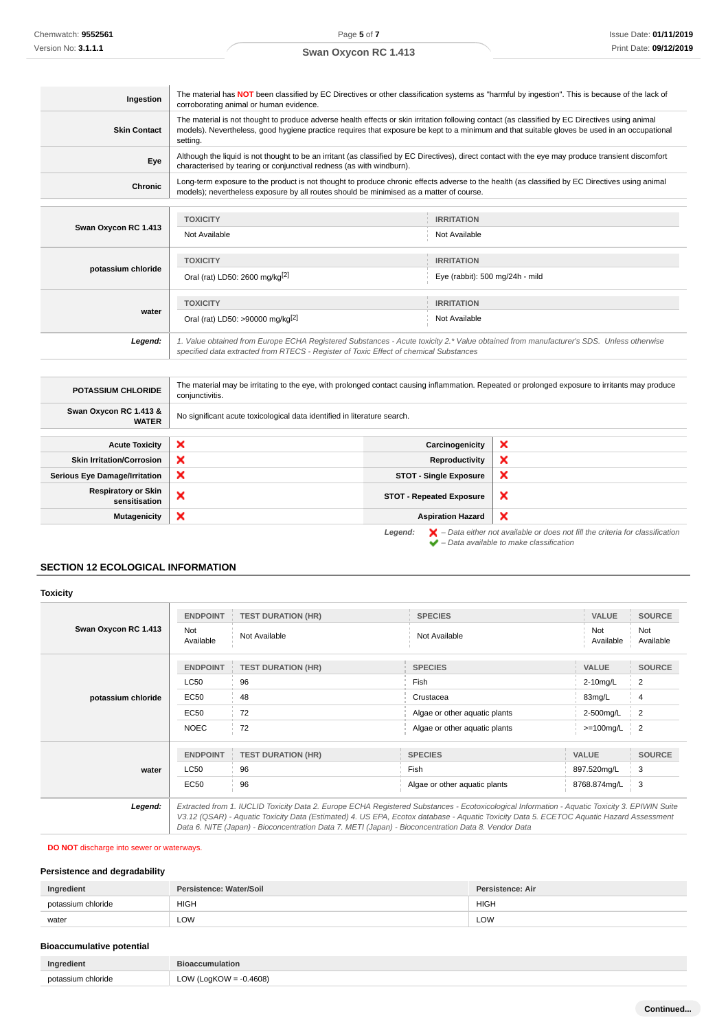| Ingestion            | The material has NOT been classified by EC Directives or other classification systems as "harmful by ingestion". This is because of the lack of<br>corroborating animal or human evidence.                                                                                                                  |                                                      |  |
|----------------------|-------------------------------------------------------------------------------------------------------------------------------------------------------------------------------------------------------------------------------------------------------------------------------------------------------------|------------------------------------------------------|--|
| <b>Skin Contact</b>  | The material is not thought to produce adverse health effects or skin irritation following contact (as classified by EC Directives using animal<br>models). Nevertheless, good hygiene practice requires that exposure be kept to a minimum and that suitable gloves be used in an occupational<br>setting. |                                                      |  |
| Eye                  | Although the liquid is not thought to be an irritant (as classified by EC Directives), direct contact with the eye may produce transient discomfort<br>characterised by tearing or conjunctival redness (as with windburn).                                                                                 |                                                      |  |
| Chronic              | Long-term exposure to the product is not thought to produce chronic effects adverse to the health (as classified by EC Directives using animal<br>models); nevertheless exposure by all routes should be minimised as a matter of course.                                                                   |                                                      |  |
| Swan Oxycon RC 1.413 | <b>TOXICITY</b><br>Not Available                                                                                                                                                                                                                                                                            | <b>IRRITATION</b><br>Not Available                   |  |
| potassium chloride   | <b>TOXICITY</b><br>Oral (rat) LD50: 2600 mg/kg <sup>[2]</sup>                                                                                                                                                                                                                                               | <b>IRRITATION</b><br>Eye (rabbit): 500 mg/24h - mild |  |

**water TOXICITY IRRITATION** Oral (rat) LD50: >90000 mg/kg<sup>[2]</sup> Not Available

**Legend:** 1. Value obtained from Europe ECHA Registered Substances - Acute toxicity 2.\* Value obtained from manufacturer's SDS. Unless otherwise specified data extracted from RTECS - Register of Toxic Effect of chemical Substances

| <b>POTASSIUM CHLORIDE</b>                   | The material may be irritating to the eye, with prolonged contact causing inflammation. Repeated or prolonged exposure to irritants may produce<br>conjunctivitis. |                                 |   |
|---------------------------------------------|--------------------------------------------------------------------------------------------------------------------------------------------------------------------|---------------------------------|---|
| Swan Oxycon RC 1.413 &<br><b>WATER</b>      | No significant acute toxicological data identified in literature search.                                                                                           |                                 |   |
|                                             |                                                                                                                                                                    |                                 |   |
| <b>Acute Toxicity</b>                       | ×                                                                                                                                                                  | Carcinogenicity                 | × |
| <b>Skin Irritation/Corrosion</b>            | ×                                                                                                                                                                  | Reproductivity                  | × |
| <b>Serious Eye Damage/Irritation</b>        | ×                                                                                                                                                                  | <b>STOT - Single Exposure</b>   | × |
| <b>Respiratory or Skin</b><br>sensitisation | ×                                                                                                                                                                  | <b>STOT - Repeated Exposure</b> | × |
| Mutagenicity                                | ×                                                                                                                                                                  | <b>Aspiration Hazard</b>        | × |

Legend:  $\blacktriangleright$  - Data either not available or does not fill the criteria for classification  $\blacktriangleright$  – Data available to make classification

## **SECTION 12 ECOLOGICAL INFORMATION**

### **Toxicity Swan Oxycon RC 1.413 ENDPOINT TEST DURATION (HR) SPECIES VALUE SOURCE** Not Not<br>Available Not Available Not Available Not Available<br>Results are not available and Available Not Available Not Ava Available Not Available **potassium chloride ENDPOINT TEST DURATION (HR) SPECIES VALUE SOURCE**  $\sim$  2-10mg/L  $\sim$  2-10mg/L  $\sim$  2-10mg/L  $\sim$  2-10mg/L  $\sim$  2-10mg/L  $\sim$  2-10mg/L  $\sim$  2-10mg/L  $\sim$  2-10mg/L  $\sim$  2-10mg/L  $\sim$  2-10mg/L  $\sim$  2-10mg/L  $\sim$  2-10mg/L  $\sim$  2-10mg/L  $\sim$  2-10mg/L  $\sim$  2-10mg/L  $\sim$  2-10mg EC50 48 Crustacea 83mg/L 4 EC50 72 Algae or other aquatic plants 2-500mg/L 2 NOEC 72 Algae or other aquatic plants >=100mg/L 2 **water ENDPOINT TEST DURATION (HR) SPECIES VALUE SOURCE**  $LC50$  96  $\qquad$  Fish  $897.520$ mg/L  $\qquad$  3 EC50 96 96 Algae or other aquatic plants 8768.874mg/L 3 **Legend:** Extracted from 1. IUCLID Toxicity Data 2. Europe ECHA Registered Substances - Ecotoxicological Information - Aquatic Toxicity 3. EPIWIN Suite V3.12 (QSAR) - Aquatic Toxicity Data (Estimated) 4. US EPA, Ecotox database - Aquatic Toxicity Data 5. ECETOC Aquatic Hazard Assessment Data 6. NITE (Japan) - Bioconcentration Data 7. METI (Japan) - Bioconcentration Data 8. Vendor Data

## **DO NOT** discharge into sewer or waterways.

### **Persistence and degradability**

| Ingredient         | Persistence: Water/Soil | Persistence: Air |
|--------------------|-------------------------|------------------|
| potassium chloride | <b>HIGH</b>             | <b>HIGH</b>      |
| water              | LOW                     | LOW              |

## **Bioaccumulative potential**

| Ingredient         | <b>Hioaccumulation</b>                     |
|--------------------|--------------------------------------------|
| potassium chloride | 0.4608<br>٬٬∩۱۸٬<br>LOW (LogK <sup>r</sup> |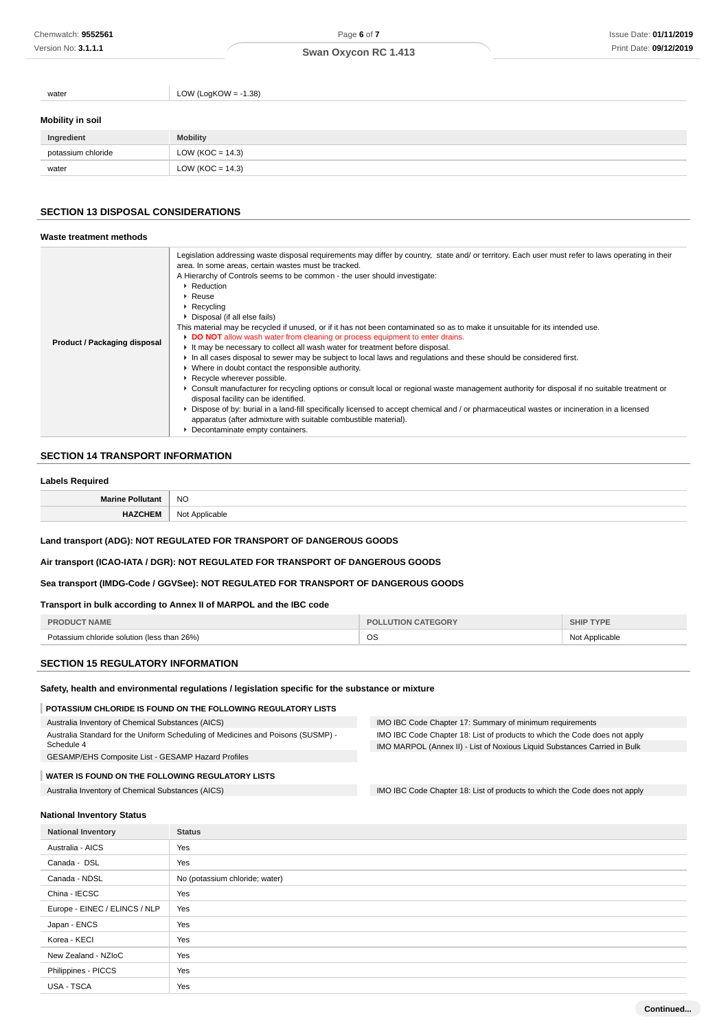| water                   | LOW (LogKOW = $-1.38$ ) |
|-------------------------|-------------------------|
| <b>Mobility in soil</b> |                         |
| Ingredient              | <b>Mobility</b>         |
| potassium chloride      | LOW ( $KOC = 14.3$ )    |
| water                   | LOW ( $KOC = 14.3$ )    |
|                         |                         |

## **SECTION 13 DISPOSAL CONSIDERATIONS**

| Waste treatment methods             |                                                                                                                                                                                                                                                                                                                                                                                                                                                                                                                                                                                                                                                                                                                                                                                                                                                                                                                                                                                                                                                                                                                                                                                                                                                                                                                                                                              |
|-------------------------------------|------------------------------------------------------------------------------------------------------------------------------------------------------------------------------------------------------------------------------------------------------------------------------------------------------------------------------------------------------------------------------------------------------------------------------------------------------------------------------------------------------------------------------------------------------------------------------------------------------------------------------------------------------------------------------------------------------------------------------------------------------------------------------------------------------------------------------------------------------------------------------------------------------------------------------------------------------------------------------------------------------------------------------------------------------------------------------------------------------------------------------------------------------------------------------------------------------------------------------------------------------------------------------------------------------------------------------------------------------------------------------|
| <b>Product / Packaging disposal</b> | Legislation addressing waste disposal requirements may differ by country, state and/ or territory. Each user must refer to laws operating in their<br>area. In some areas, certain wastes must be tracked.<br>A Hierarchy of Controls seems to be common - the user should investigate:<br>$\triangleright$ Reduction<br>$\triangleright$ Reuse<br>$\triangleright$ Recycling<br>▶ Disposal (if all else fails)<br>This material may be recycled if unused, or if it has not been contaminated so as to make it unsuitable for its intended use.<br>DO NOT allow wash water from cleaning or process equipment to enter drains.<br>It may be necessary to collect all wash water for treatment before disposal.<br>In all cases disposal to sewer may be subject to local laws and requlations and these should be considered first.<br>• Where in doubt contact the responsible authority.<br>▶ Recycle wherever possible.<br>► Consult manufacturer for recycling options or consult local or regional waste management authority for disposal if no suitable treatment or<br>disposal facility can be identified.<br>▶ Dispose of by: burial in a land-fill specifically licensed to accept chemical and / or pharmaceutical wastes or incineration in a licensed<br>apparatus (after admixture with suitable combustible material).<br>• Decontaminate empty containers. |

## **SECTION 14 TRANSPORT INFORMATION**

### **Labels Required**

| NO |
|----|
|    |

## **Land transport (ADG): NOT REGULATED FOR TRANSPORT OF DANGEROUS GOODS**

**Air transport (ICAO-IATA / DGR): NOT REGULATED FOR TRANSPORT OF DANGEROUS GOODS**

### **Sea transport (IMDG-Code / GGVSee): NOT REGULATED FOR TRANSPORT OF DANGEROUS GOODS**

### **Transport in bulk according to Annex II of MARPOL and the IBC code**

| IAME                                                           | EGORV     | <b>TYPE</b><br>- HIPد |
|----------------------------------------------------------------|-----------|-----------------------|
| than $26\%$ )<br>יו כי<br>™assium chloride solution (less<br>. | <b>OS</b> | Applicable<br>.       |

## **SECTION 15 REGULATORY INFORMATION**

**Safety, health and environmental regulations / legislation specific for the substance or mixture**

#### **POTASSIUM CHLORIDE IS FOUND ON THE FOLLOWING REGULATORY LISTS**

Australia Inventory of Chemical Substances (AICS) Australia Standard for the Uniform Scheduling of Medicines and Poisons (SUSMP) - Schedule 4 GESAMP/EHS Composite List - GESAMP Hazard Profiles IMO IBC Code Chapter 17: Summary of minimum requirements IMO IBC Code Chapter 18: List of products to which the Code does not apply IMO MARPOL (Annex II) - List of Noxious Liquid Substances Carried in Bulk **WATER IS FOUND ON THE FOLLOWING REGULATORY LISTS**

# Australia Inventory of Chemical Substances (AICS) **IMO IBC Code Chapter 18: List of products to which the Code does not apply**

#### **National Inventory Status**

| <b>National Inventory</b>     | <b>Status</b>                  |  |
|-------------------------------|--------------------------------|--|
| Australia - AICS              | Yes                            |  |
| Canada - DSL                  | Yes                            |  |
| Canada - NDSL                 | No (potassium chloride; water) |  |
| China - IECSC                 | Yes                            |  |
| Europe - EINEC / ELINCS / NLP | Yes                            |  |
| Japan - ENCS                  | Yes                            |  |
| Korea - KECI                  | Yes                            |  |
| New Zealand - NZIoC           | Yes                            |  |
| Philippines - PICCS           | Yes                            |  |
| USA - TSCA                    | Yes                            |  |